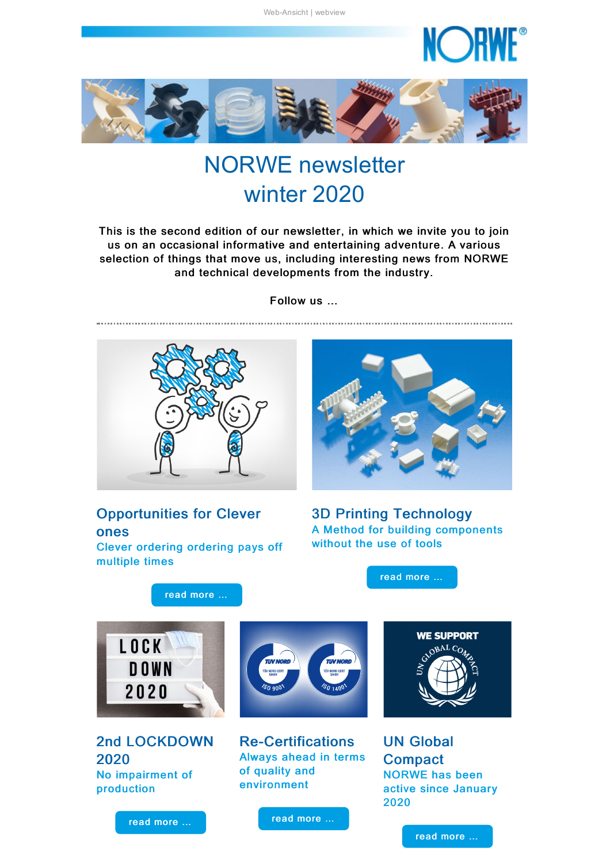NC DF

<span id="page-0-0"></span>

# NORWE newsletter winter 2020

This is the second edition of our newsletter, in which we invite you to join us on an occasional informative and entertaining adventure. A various selection of things that move us, including interesting news from NORWE and technical developments from the industry.

Follow us …



Opportunities for Clever ones Clever ordering ordering pays off multiple times

3D Printing Technology A Method for building components without the use of tools

read [more](#page-1-1) …

read [more](#page-1-0) …



2nd LOCKDOWN 2020 No impairment of production



Re-Certifications Always ahead in terms of quality and environment



UN Global **Compact** NORWE has been active since January 2020

read [more](#page-2-0) …

read [more](#page-4-0) …

read [more](#page-4-1) …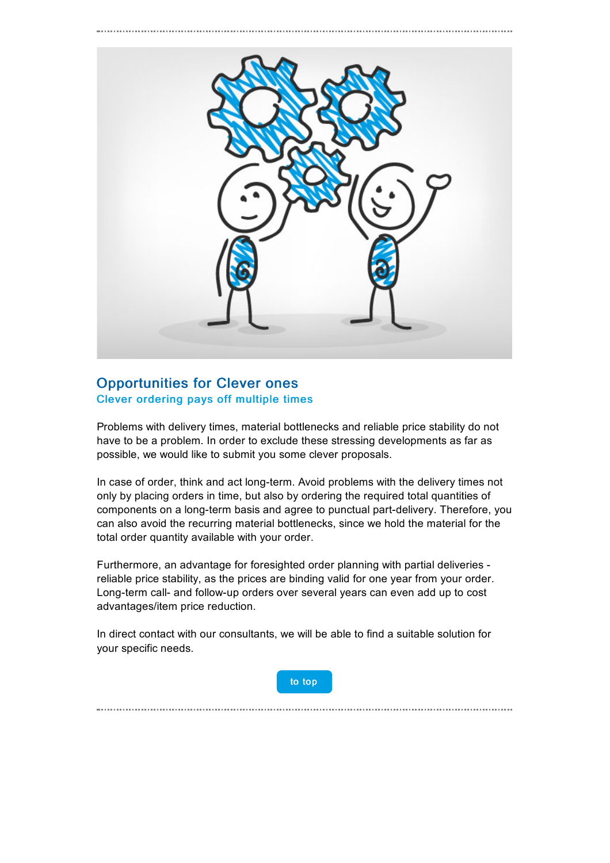<span id="page-1-0"></span>

## Opportunities for Clever ones Clever ordering pays off multiple times

Problems with delivery times, material bottlenecks and reliable price stability do not have to be a problem. In order to exclude these stressing developments as far as possible, we would like to submit you some clever proposals.

In case of order, think and act long-term. Avoid problems with the delivery times not only by placing orders in time, but also by ordering the required total quantities of components on a long-term basis and agree to punctual part-delivery. Therefore, you can also avoid the recurring material bottlenecks, since we hold the material for the total order quantity available with your order.

Furthermore, an advantage for foresighted order planning with partial deliveries reliable price stability, as the prices are binding valid for one year from your order. Long-term call- and follow-up orders over several years can even add up to cost advantages/item price reduction.

In direct contact with our consultants, we will be able to find a suitable solution for your specific needs.



<span id="page-1-1"></span>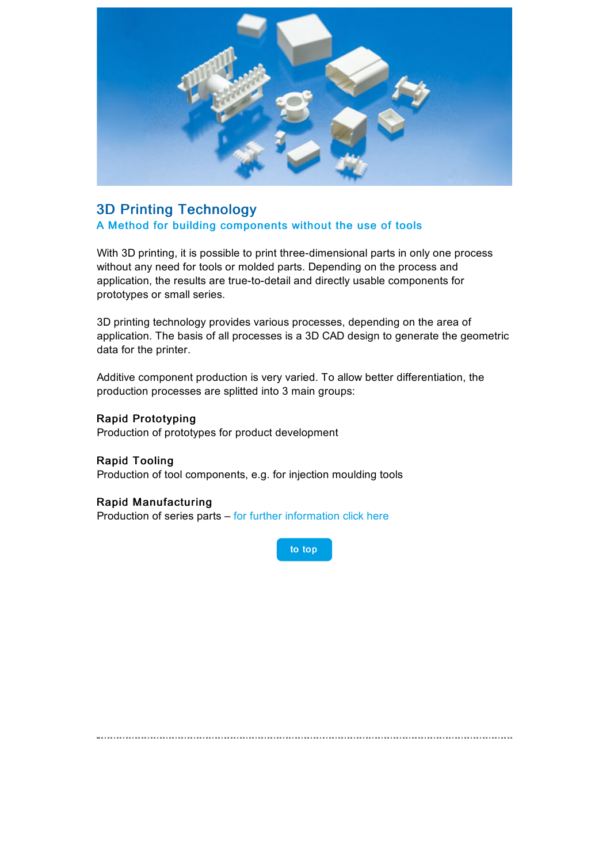

## 3D Printing Technology A Method for building components without the use of tools

With 3D printing, it is possible to print three-dimensional parts in only one process without any need for tools or molded parts. Depending on the process and application, the results are true-to-detail and directly usable components for prototypes or small series.

3D printing technology provides various processes, depending on the area of application. The basis of all processes is a 3D CAD design to generate the geometric data for the printer.

Additive component production is very varied. To allow better differentiation, the production processes are splitted into 3 main groups:

#### Rapid Prototyping

Production of prototypes for product development

Rapid Tooling Production of tool components, e.g. for injection moulding tools

#### Rapid Manufacturing

Production of series parts – for further [information](https://taadea104.emailsys1a.net/c/177/3468311/0/0/0/151129/96fb5733ab.html) click here

to [top](#page-0-0)

<span id="page-2-0"></span>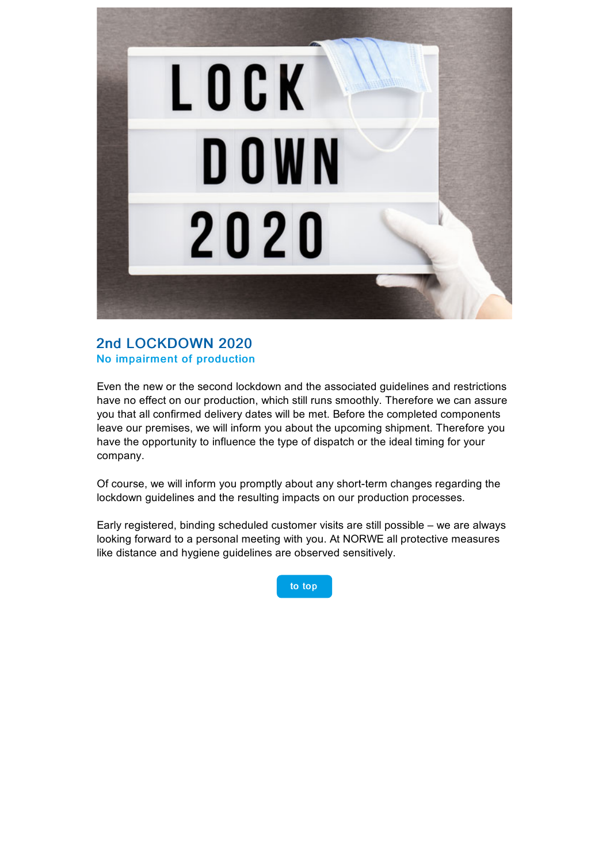

## 2nd LOCKDOWN 2020 No impairment of production

Even the new or the second lockdown and the associated guidelines and restrictions have no effect on our production, which still runs smoothly. Therefore we can assure you that all confirmed delivery dates will be met. Before the completed components leave our premises, we will inform you about the upcoming shipment. Therefore you have the opportunity to influence the type of dispatch or the ideal timing for your company.

Of course, we will inform you promptly about any short-term changes regarding the lockdown guidelines and the resulting impacts on our production processes.

Early registered, binding scheduled customer visits are still possible – we are always looking forward to a personal meeting with you. At NORWE all protective measures like distance and hygiene guidelines are observed sensitively.

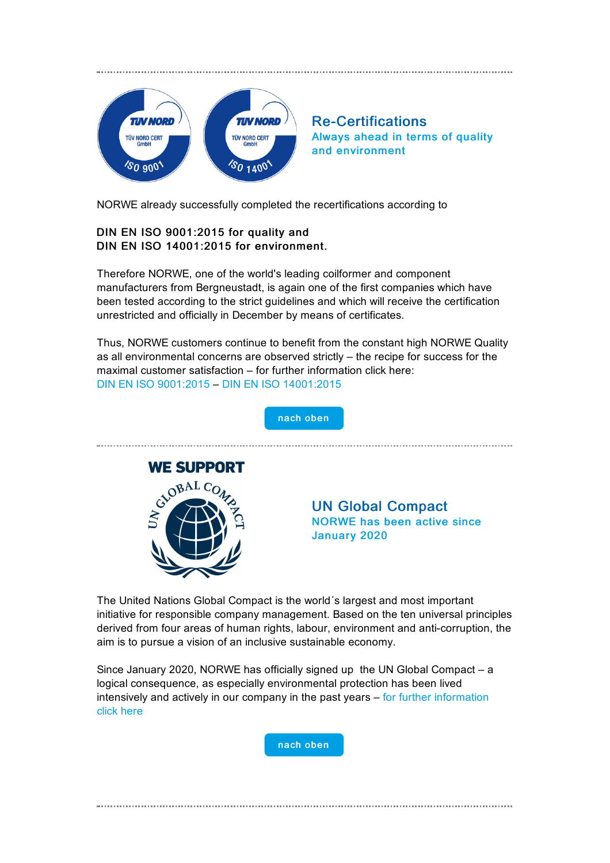<span id="page-4-0"></span>

Re-Certifications Always ahead in terms of quality and environment

NORWE already successfully completed the recertifications according to

### DIN EN ISO 9001:2015 for quality and DIN EN ISO 14001:2015 for environment.

Therefore NORWE, one of the world's leading coilformer and component manufacturers from Bergneustadt, is again one of the first companies which have been tested according to the strict guidelines and which will receive the certification unrestricted and officially in December by means of certificates.

Thus, NORWE customers continue to benefit from the constant high NORWE Quality as all environmental concerns are observed strictly – the recipe for success for the maximal customer satisfaction – for further information click here: DIN EN ISO [9001:2015](https://taadea104.emailsys1a.net/c/177/3468311/0/0/0/151133/9d6ae3a073.html) – DIN EN ISO [14001:2015](https://taadea104.emailsys1a.net/c/177/3468311/0/0/0/151137/b2170837fc.html)

<span id="page-4-1"></span>

The United Nations Global Compact is the world´s largest and most important initiative for responsible company management. Based on the ten universal principles derived from four areas of human rights, labour, environment and anti-corruption, the aim is to pursue a vision of an inclusive sustainable economy.

Since January 2020, NORWE has officially signed up the UN Global Compact – a logical consequence, as especially environmental protection has been lived intensively and actively in our company in the past years  $-$  for further [information](https://taadea104.emailsys1a.net/c/177/3468311/0/0/0/151141/f4a1920d97.html) click here